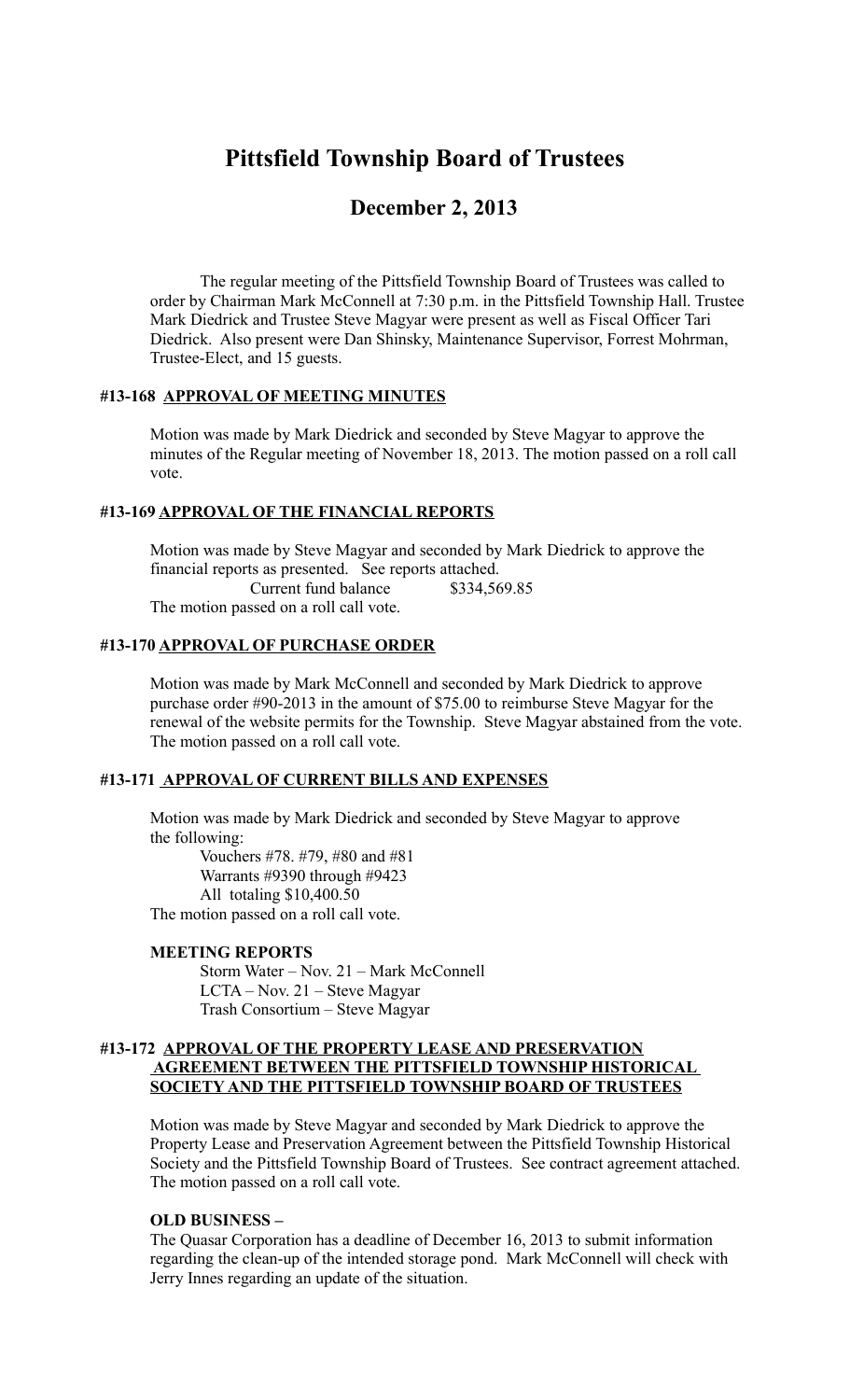# **Pittsfield Township Board of Trustees**

## **December 2, 2013**

The regular meeting of the Pittsfield Township Board of Trustees was called to order by Chairman Mark McConnell at 7:30 p.m. in the Pittsfield Township Hall. Trustee Mark Diedrick and Trustee Steve Magyar were present as well as Fiscal Officer Tari Diedrick. Also present were Dan Shinsky, Maintenance Supervisor, Forrest Mohrman, Trustee-Elect, and 15 guests.

#### **#13-168 APPROVAL OF MEETING MINUTES**

Motion was made by Mark Diedrick and seconded by Steve Magyar to approve the minutes of the Regular meeting of November 18, 2013. The motion passed on a roll call vote.

## **#13-169 APPROVAL OF THE FINANCIAL REPORTS**

Motion was made by Steve Magyar and seconded by Mark Diedrick to approve the financial reports as presented. See reports attached. Current fund balance \$334,569.85

The motion passed on a roll call vote.

### **#13-170 APPROVAL OF PURCHASE ORDER**

Motion was made by Mark McConnell and seconded by Mark Diedrick to approve purchase order #90-2013 in the amount of \$75.00 to reimburse Steve Magyar for the renewal of the website permits for the Township. Steve Magyar abstained from the vote. The motion passed on a roll call vote.

#### **#13-171 APPROVAL OF CURRENT BILLS AND EXPENSES**

Motion was made by Mark Diedrick and seconded by Steve Magyar to approve the following:

 Vouchers #78. #79, #80 and #81 Warrants #9390 through #9423 All totaling \$10,400.50 The motion passed on a roll call vote.

#### **MEETING REPORTS**

Storm Water – Nov. 21 – Mark McConnell LCTA – Nov. 21 – Steve Magyar Trash Consortium – Steve Magyar

#### **#13-172 APPROVAL OF THE PROPERTY LEASE AND PRESERVATION AGREEMENT BETWEEN THE PITTSFIELD TOWNSHIP HISTORICAL SOCIETY AND THE PITTSFIELD TOWNSHIP BOARD OF TRUSTEES**

Motion was made by Steve Magyar and seconded by Mark Diedrick to approve the Property Lease and Preservation Agreement between the Pittsfield Township Historical Society and the Pittsfield Township Board of Trustees. See contract agreement attached. The motion passed on a roll call vote.

#### **OLD BUSINESS –**

The Quasar Corporation has a deadline of December 16, 2013 to submit information regarding the clean-up of the intended storage pond. Mark McConnell will check with Jerry Innes regarding an update of the situation.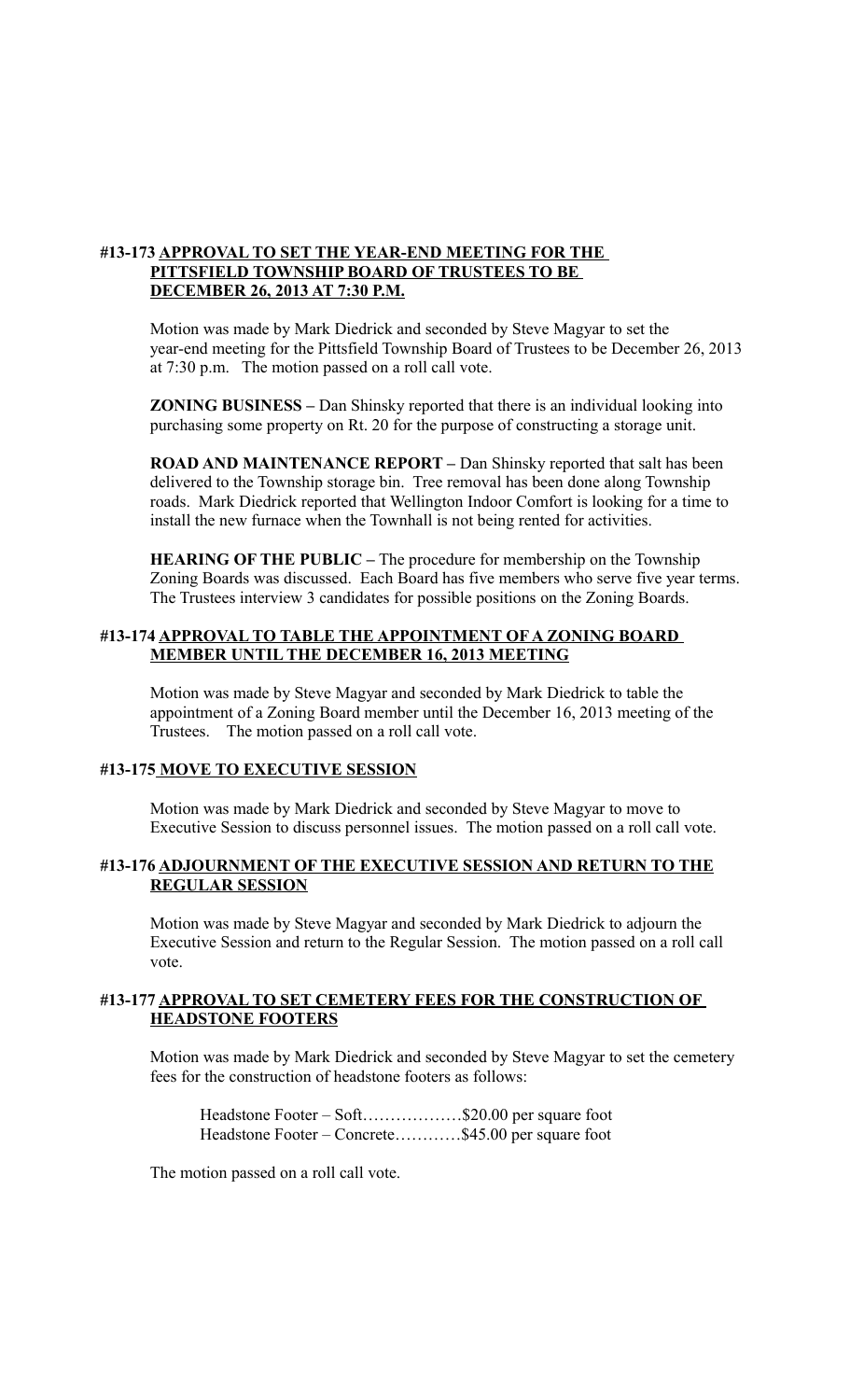## **#13-173 APPROVAL TO SET THE YEAR-END MEETING FOR THE PITTSFIELD TOWNSHIP BOARD OF TRUSTEES TO BE DECEMBER 26, 2013 AT 7:30 P.M.**

Motion was made by Mark Diedrick and seconded by Steve Magyar to set the year-end meeting for the Pittsfield Township Board of Trustees to be December 26, 2013 at 7:30 p.m. The motion passed on a roll call vote.

**ZONING BUSINESS –** Dan Shinsky reported that there is an individual looking into purchasing some property on Rt. 20 for the purpose of constructing a storage unit.

**ROAD AND MAINTENANCE REPORT –** Dan Shinsky reported that salt has been delivered to the Township storage bin. Tree removal has been done along Township roads. Mark Diedrick reported that Wellington Indoor Comfort is looking for a time to install the new furnace when the Townhall is not being rented for activities.

**HEARING OF THE PUBLIC –** The procedure for membership on the Township Zoning Boards was discussed. Each Board has five members who serve five year terms. The Trustees interview 3 candidates for possible positions on the Zoning Boards.

#### **#13-174 APPROVAL TO TABLE THE APPOINTMENT OF A ZONING BOARD MEMBER UNTIL THE DECEMBER 16, 2013 MEETING**

Motion was made by Steve Magyar and seconded by Mark Diedrick to table the appointment of a Zoning Board member until the December 16, 2013 meeting of the Trustees. The motion passed on a roll call vote.

#### **#13-175 MOVE TO EXECUTIVE SESSION**

Motion was made by Mark Diedrick and seconded by Steve Magyar to move to Executive Session to discuss personnel issues. The motion passed on a roll call vote.

#### **#13-176 ADJOURNMENT OF THE EXECUTIVE SESSION AND RETURN TO THE REGULAR SESSION**

Motion was made by Steve Magyar and seconded by Mark Diedrick to adjourn the Executive Session and return to the Regular Session. The motion passed on a roll call vote.

## **#13-177 APPROVAL TO SET CEMETERY FEES FOR THE CONSTRUCTION OF HEADSTONE FOOTERS**

Motion was made by Mark Diedrick and seconded by Steve Magyar to set the cemetery fees for the construction of headstone footers as follows:

| Headstone Footer – Soft\$20.00 per square foot     |  |
|----------------------------------------------------|--|
| Headstone Footer – Concrete\$45.00 per square foot |  |

The motion passed on a roll call vote.